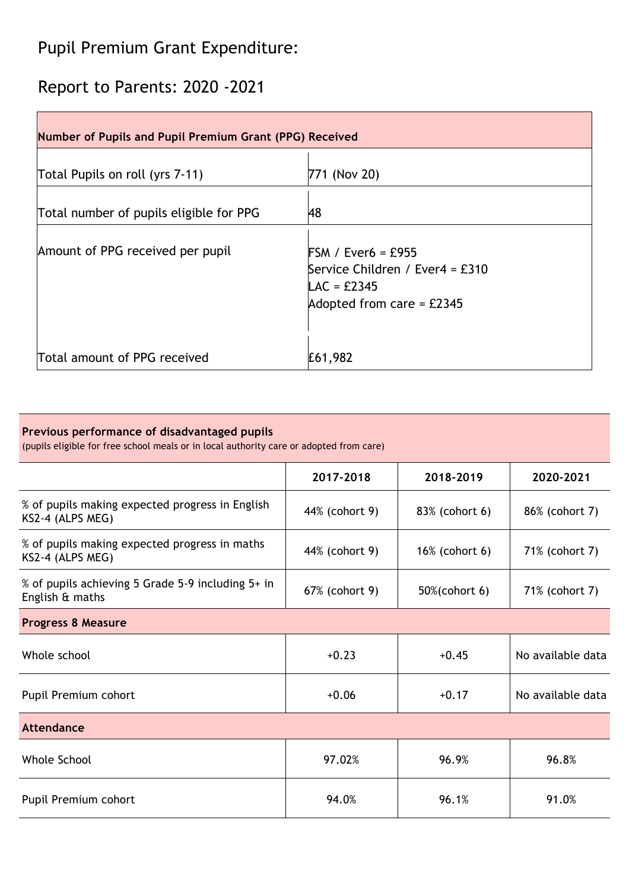# Pupil Premium Grant Expenditure:

## Report to Parents: 2020 -2021

| <b>Number of Pupils and Pupil Premium Grant (PPG) Received</b> |                                                                                                                             |  |  |  |
|----------------------------------------------------------------|-----------------------------------------------------------------------------------------------------------------------------|--|--|--|
| Total Pupils on roll (yrs 7-11)                                | 771 (Nov 20)                                                                                                                |  |  |  |
| Total number of pupils eligible for PPG                        | 48                                                                                                                          |  |  |  |
| Amount of PPG received per pupil                               | $FSM / Ever6 = £955$<br>Service Children / Ever4 = £310<br>$\textsf{LAC} = \text{\pounds}2345$<br>Adopted from care = £2345 |  |  |  |
| Total amount of PPG received                                   | £61,982                                                                                                                     |  |  |  |

## **Previous performance of disadvantaged pupils**

(pupils eligible for free school meals or in local authority care or adopted from care)

|                                                                      | 2017-2018      | 2018-2019      | 2020-2021         |  |  |  |
|----------------------------------------------------------------------|----------------|----------------|-------------------|--|--|--|
| % of pupils making expected progress in English<br>KS2-4 (ALPS MEG)  | 44% (cohort 9) | 83% (cohort 6) | 86% (cohort 7)    |  |  |  |
| % of pupils making expected progress in maths<br>KS2-4 (ALPS MEG)    | 44% (cohort 9) | 16% (cohort 6) | 71% (cohort 7)    |  |  |  |
| % of pupils achieving 5 Grade 5-9 including 5+ in<br>English & maths | 67% (cohort 9) | 50%(cohort 6)  | 71% (cohort 7)    |  |  |  |
| <b>Progress 8 Measure</b>                                            |                |                |                   |  |  |  |
| Whole school                                                         | $+0.23$        | $+0.45$        | No available data |  |  |  |
| Pupil Premium cohort                                                 | $+0.06$        | $+0.17$        | No available data |  |  |  |
| Attendance                                                           |                |                |                   |  |  |  |
| Whole School                                                         | 97.02%         | 96.9%          | 96.8%             |  |  |  |
| Pupil Premium cohort                                                 | 94.0%          | 96.1%          | 91.0%             |  |  |  |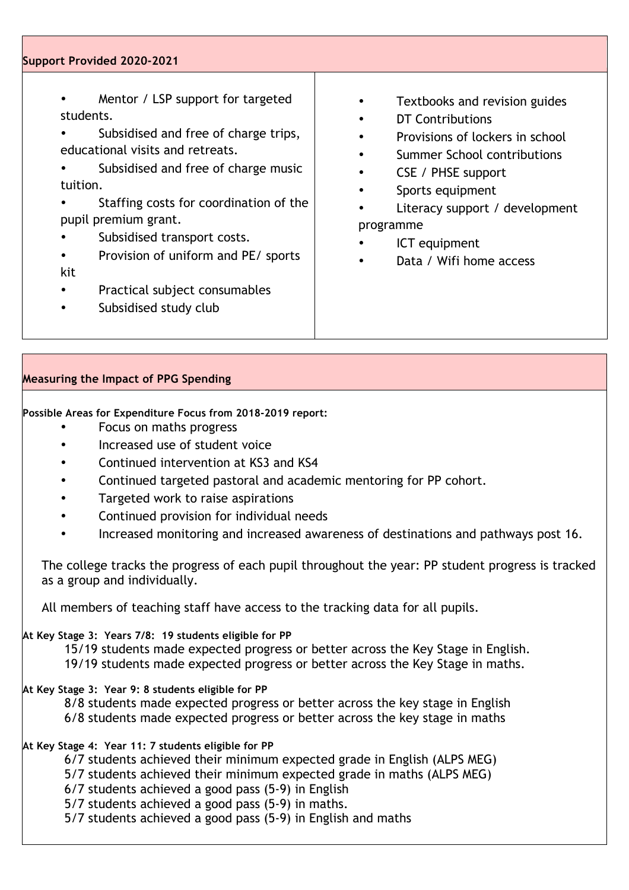#### **Support Provided 2020-2021**

- Mentor / LSP support for targeted students.
- Subsidised and free of charge trips, educational visits and retreats.
- Subsidised and free of charge music tuition.
- Staffing costs for coordination of the pupil premium grant.
- Subsidised transport costs.
- Provision of uniform and PE/ sports kit
- Practical subject consumables
- Subsidised study club
- Textbooks and revision guides
- DT Contributions
- Provisions of lockers in school
- Summer School contributions
- CSE / PHSE support
- Sports equipment
- Literacy support / development programme
- ICT equipment
- Data / Wifi home access

## **Measuring the Impact of PPG Spending**

**Possible Areas for Expenditure Focus from 2018-2019 report:**

- Focus on maths progress
- Increased use of student voice
- Continued intervention at KS3 and KS4
- Continued targeted pastoral and academic mentoring for PP cohort.
- Targeted work to raise aspirations
- Continued provision for individual needs
- Increased monitoring and increased awareness of destinations and pathways post 16.

The college tracks the progress of each pupil throughout the year: PP student progress is tracked as a group and individually.

All members of teaching staff have access to the tracking data for all pupils.

#### **At Key Stage 3: Years 7/8: 19 students eligible for PP**

15/19 students made expected progress or better across the Key Stage in English.

19/19 students made expected progress or better across the Key Stage in maths.

## **At Key Stage 3: Year 9: 8 students eligible for PP**

8/8 students made expected progress or better across the key stage in English 6/8 students made expected progress or better across the key stage in maths

## **At Key Stage 4: Year 11: 7 students eligible for PP**

6/7 students achieved their minimum expected grade in English (ALPS MEG)

- 5/7 students achieved their minimum expected grade in maths (ALPS MEG)
- 6/7 students achieved a good pass (5-9) in English

5/7 students achieved a good pass (5-9) in maths.

5/7 students achieved a good pass (5-9) in English and maths